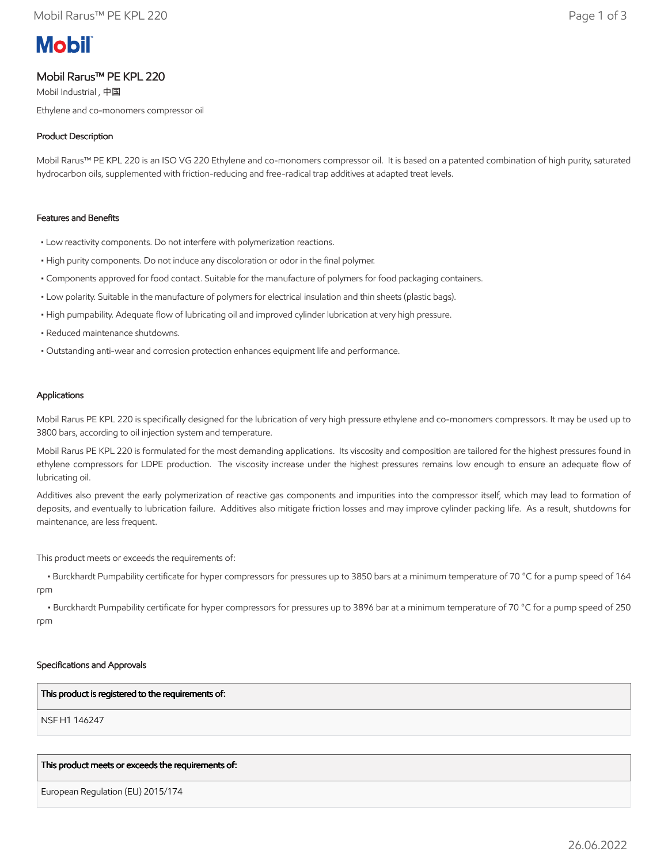# **Mobil**

## Mobil Rarus™ PE KPL 220

Mobil Industrial , 中国 Ethylene and co-monomers compressor oil

## Product Description

Mobil Rarus™ PE KPL 220 is an ISO VG 220 Ethylene and co-monomers compressor oil. It is based on a patented combination of high purity, saturated hydrocarbon oils, supplemented with friction-reducing and free-radical trap additives at adapted treat levels.

#### Features and Benefits

- Low reactivity components. Do not interfere with polymerization reactions.
- High purity components. Do not induce any discoloration or odor in the final polymer.
- Components approved for food contact. Suitable for the manufacture of polymers for food packaging containers.
- Low polarity. Suitable in the manufacture of polymers for electrical insulation and thin sheets (plastic bags).
- High pumpability. Adequate flow of lubricating oil and improved cylinder lubrication at very high pressure.
- Reduced maintenance shutdowns.
- Outstanding anti-wear and corrosion protection enhances equipment life and performance.

#### Applications

Mobil Rarus PE KPL 220 is specifically designed for the lubrication of very high pressure ethylene and co-monomers compressors. It may be used up to 3800 bars, according to oil injection system and temperature.

Mobil Rarus PE KPL 220 is formulated for the most demanding applications. Its viscosity and composition are tailored for the highest pressures found in ethylene compressors for LDPE production. The viscosity increase under the highest pressures remains low enough to ensure an adequate flow of lubricating oil.

Additives also prevent the early polymerization of reactive gas components and impurities into the compressor itself, which may lead to formation of deposits, and eventually to lubrication failure. Additives also mitigate friction losses and may improve cylinder packing life. As a result, shutdowns for maintenance, are less frequent.

This product meets or exceeds the requirements of:

 • Burckhardt Pumpability certificate for hyper compressors for pressures up to 3850 bars at a minimum temperature of 70 °C for a pump speed of 164 rpm

 • Burckhardt Pumpability certificate for hyper compressors for pressures up to 3896 bar at a minimum temperature of 70 °C for a pump speed of 250 rpm

#### Specifications and Approvals

#### This product is registered to the requirements of:

NSF H1 146247

#### This product meets or exceeds the requirements of:

European Regulation (EU) 2015/174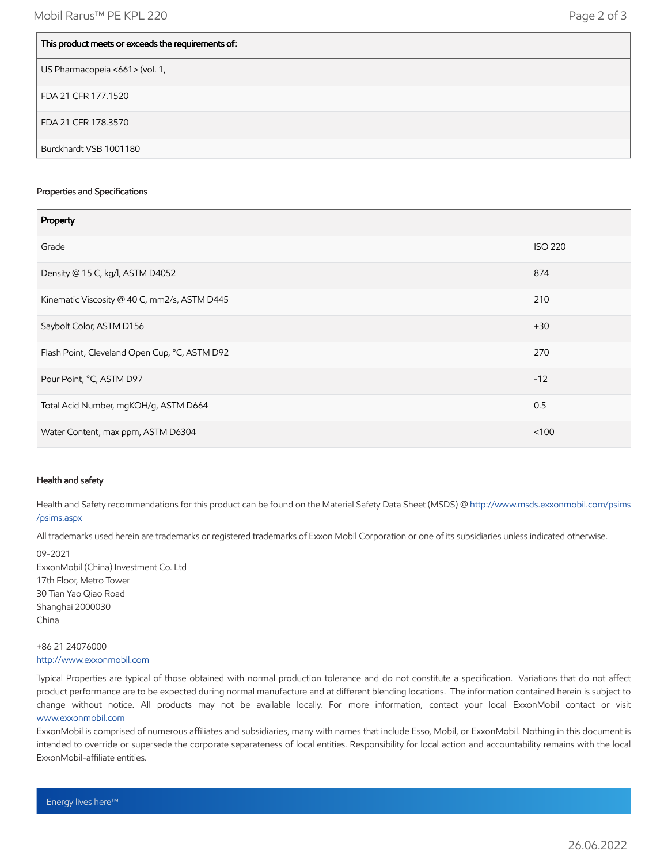| This product meets or exceeds the requirements of: |
|----------------------------------------------------|
| US Pharmacopeia <661> (vol. 1,                     |
| FDA 21 CFR 177.1520                                |
| FDA 21 CFR 178.3570                                |
| Burckhardt VSB 1001180                             |

#### Properties and Specifications

| Property                                      |                |
|-----------------------------------------------|----------------|
| Grade                                         | <b>ISO 220</b> |
| Density @ 15 C, kg/l, ASTM D4052              | 874            |
| Kinematic Viscosity @ 40 C, mm2/s, ASTM D445  | 210            |
| Saybolt Color, ASTM D156                      | $+30$          |
| Flash Point, Cleveland Open Cup, °C, ASTM D92 | 270            |
| Pour Point, °C, ASTM D97                      | $-12$          |
| Total Acid Number, mgKOH/g, ASTM D664         | 0.5            |
| Water Content, max ppm, ASTM D6304            | < 100          |

#### Health and safety

Health and Safety recommendations for this product can be found on the Material Safety Data Sheet (MSDS) @ [http://www.msds.exxonmobil.com/psims](http://www.msds.exxonmobil.com/psims/psims.aspx) /psims.aspx

All trademarks used herein are trademarks or registered trademarks of Exxon Mobil Corporation or one of its subsidiaries unless indicated otherwise.

09-2021 ExxonMobil (China) Investment Co. Ltd 17th Floor, Metro Tower 30 Tian Yao Qiao Road Shanghai 2000030 China

### +86 21 24076000 [http://www.exxonmobil.com](http://www.exxonmobil.com/)

Typical Properties are typical of those obtained with normal production tolerance and do not constitute a specification. Variations that do not affect product performance are to be expected during normal manufacture and at different blending locations. The information contained herein is subject to change without notice. All products may not be available locally. For more information, contact your local ExxonMobil contact or visit [www.exxonmobil.com](http://www.exxonmobil.com/)

ExxonMobil is comprised of numerous affiliates and subsidiaries, many with names that include Esso, Mobil, or ExxonMobil. Nothing in this document is intended to override or supersede the corporate separateness of local entities. Responsibility for local action and accountability remains with the local ExxonMobil-affiliate entities.